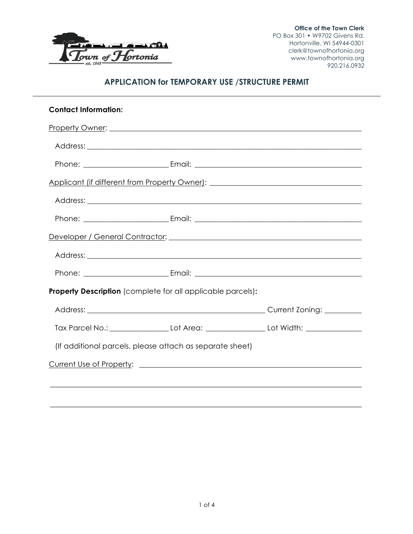

# **APPLICATION for TEMPORARY USE /STRUCTURE PERMIT**

| <b>Contact Information:</b> |                                                                    |                                                                                   |
|-----------------------------|--------------------------------------------------------------------|-----------------------------------------------------------------------------------|
|                             |                                                                    |                                                                                   |
|                             |                                                                    |                                                                                   |
|                             |                                                                    |                                                                                   |
|                             |                                                                    | Applicant (if different from Property Owner): ___________________________________ |
|                             |                                                                    |                                                                                   |
|                             |                                                                    |                                                                                   |
|                             |                                                                    |                                                                                   |
|                             |                                                                    |                                                                                   |
|                             |                                                                    |                                                                                   |
|                             | <b>Property Description</b> (complete for all applicable parcels): |                                                                                   |
|                             |                                                                    |                                                                                   |
|                             |                                                                    |                                                                                   |
|                             | (If additional parcels, please attach as separate sheet)           |                                                                                   |
|                             |                                                                    |                                                                                   |
|                             |                                                                    | ,我们也不能在这里的人,我们也不能在这里的人,我们也不能在这里的人,我们也不能在这里的人,我们也不能在这里的人,我们也不能在这里的人,我们也不能在这里的人,我们也 |
|                             |                                                                    |                                                                                   |

\_\_\_\_\_\_\_\_\_\_\_\_\_\_\_\_\_\_\_\_\_\_\_\_\_\_\_\_\_\_\_\_\_\_\_\_\_\_\_\_\_\_\_\_\_\_\_\_\_\_\_\_\_\_\_\_\_\_\_\_\_\_\_\_\_\_\_\_\_\_\_\_\_\_\_\_\_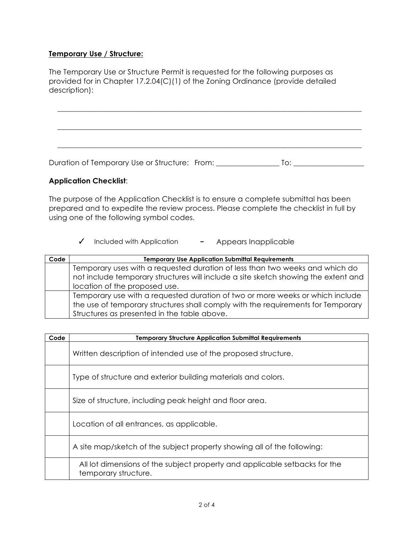### **Temporary Use / Structure:**

The Temporary Use or Structure Permit is requested for the following purposes as provided for in Chapter 17.2.04(C)(1) of the Zoning Ordinance (provide detailed description):

Duration of Temporary Use or Structure: From: \_\_\_\_\_\_\_\_\_\_\_\_\_\_\_\_\_\_\_\_\_\_\_\_\_\_\_\_\_\_\_\_\_\_

\_\_\_\_\_\_\_\_\_\_\_\_\_\_\_\_\_\_\_\_\_\_\_\_\_\_\_\_\_\_\_\_\_\_\_\_\_\_\_\_\_\_\_\_\_\_\_\_\_\_\_\_\_\_\_\_\_\_\_\_\_\_\_\_\_\_\_\_\_\_\_\_\_\_\_\_\_\_\_\_\_\_

\_\_\_\_\_\_\_\_\_\_\_\_\_\_\_\_\_\_\_\_\_\_\_\_\_\_\_\_\_\_\_\_\_\_\_\_\_\_\_\_\_\_\_\_\_\_\_\_\_\_\_\_\_\_\_\_\_\_\_\_\_\_\_\_\_\_\_\_\_\_\_\_\_\_\_\_\_\_\_\_\_\_

\_\_\_\_\_\_\_\_\_\_\_\_\_\_\_\_\_\_\_\_\_\_\_\_\_\_\_\_\_\_\_\_\_\_\_\_\_\_\_\_\_\_\_\_\_\_\_\_\_\_\_\_\_\_\_\_\_\_\_\_\_\_\_\_\_\_\_\_\_\_\_\_\_\_\_\_\_\_\_\_\_\_

### **Application Checklist**:

The purpose of the Application Checklist is to ensure a complete submittal has been prepared and to expedite the review process. Please complete the checklist in full by using one of the following symbol codes.

#### ✓ Included with Application **−** Appears Inapplicable

| Code | <b>Temporary Use Application Submittal Requirements</b>                            |  |
|------|------------------------------------------------------------------------------------|--|
|      | Temporary uses with a requested duration of less than two weeks and which do       |  |
|      | not include temporary structures will include a site sketch showing the extent and |  |
|      | location of the proposed use.                                                      |  |
|      | Temporary use with a requested duration of two or more weeks or which include      |  |
|      | the use of temporary structures shall comply with the requirements for Temporary   |  |
|      | Structures as presented in the table above.                                        |  |

| Code | <b>Temporary Structure Application Submittal Requirements</b>                                      |
|------|----------------------------------------------------------------------------------------------------|
|      | Written description of intended use of the proposed structure.                                     |
|      | Type of structure and exterior building materials and colors.                                      |
|      | Size of structure, including peak height and floor area.                                           |
|      | Location of all entrances, as applicable.                                                          |
|      | A site map/sketch of the subject property showing all of the following:                            |
|      | All lot dimensions of the subject property and applicable setbacks for the<br>temporary structure. |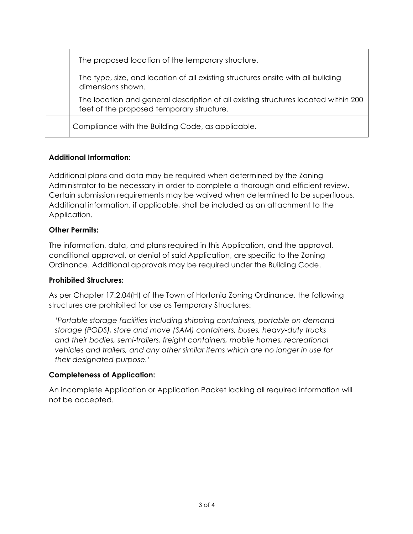| The proposed location of the temporary structure.                                                                               |
|---------------------------------------------------------------------------------------------------------------------------------|
| The type, size, and location of all existing structures onsite with all building<br>dimensions shown.                           |
| The location and general description of all existing structures located within 200<br>feet of the proposed temporary structure. |
| Compliance with the Building Code, as applicable.                                                                               |

## **Additional Information:**

Additional plans and data may be required when determined by the Zoning Administrator to be necessary in order to complete a thorough and efficient review. Certain submission requirements may be waived when determined to be superfluous. Additional information, if applicable, shall be included as an attachment to the Application.

### **Other Permits:**

The information, data, and plans required in this Application, and the approval, conditional approval, or denial of said Application, are specific to the Zoning Ordinance. Additional approvals may be required under the Building Code.

### **Prohibited Structures:**

As per Chapter 17.2.04(H) of the Town of Hortonia Zoning Ordinance, the following structures are prohibited for use as Temporary Structures:

*'Portable storage facilities including shipping containers, portable on demand storage (PODS), store and move (SAM) containers, buses, heavy-duty trucks and their bodies, semi-trailers, freight containers, mobile homes, recreational vehicles and trailers, and any other similar items which are no longer in use for their designated purpose.'*

## **Completeness of Application:**

An incomplete Application or Application Packet lacking all required information will not be accepted.